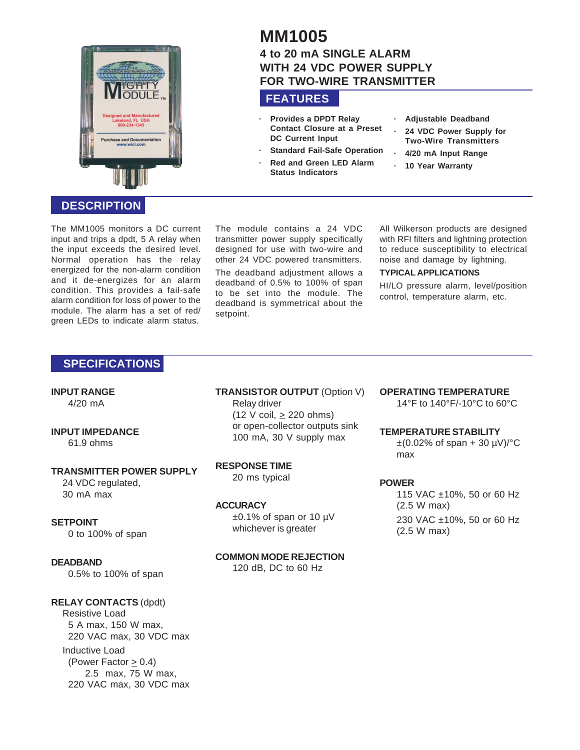

# **DESCRIPTION**

The MM1005 monitors a DC current input and trips a dpdt, 5 A relay when the input exceeds the desired level. Normal operation has the relay energized for the non-alarm condition and it de-energizes for an alarm condition. This provides a fail-safe alarm condition for loss of power to the module. The alarm has a set of red/ green LEDs to indicate alarm status.

#### The module contains a 24 VDC transmitter power supply specifically designed for use with two-wire and other 24 VDC powered transmitters.

The deadband adjustment allows a deadband of 0.5% to 100% of span to be set into the module. The deadband is symmetrical about the setpoint.

All Wilkerson products are designed with RFI filters and lightning protection to reduce susceptibility to electrical noise and damage by lightning.

#### **TYPICAL APPLICATIONS**

HI/LO pressure alarm, level/position control, temperature alarm, etc.

# **SPECIFICATIONS**

#### **INPUT RANGE**

4/20 mA

# **INPUT IMPEDANCE**

61.9 ohms

#### **TRANSMITTER POWER SUPPLY**

24 VDC regulated, 30 mA max

#### **SETPOINT**

0 to 100% of span

# **DEADBAND**

0.5% to 100% of span

# **RELAY CONTACTS** (dpdt)

Resistive Load 5 A max, 150 W max, 220 VAC max, 30 VDC max Inductive Load (Power Factor  $\geq$  0.4) 2.5 max, 75 W max, 220 VAC max, 30 VDC max **TRANSISTOR OUTPUT** (Option V) Relay driver  $(12 \text{ V coil}, \geq 220 \text{ ohms})$ or open-collector outputs sink 100 mA, 30 V supply max

#### **RESPONSE TIME**

20 ms typical

#### **ACCURACY**

 $\pm 0.1\%$  of span or 10 µV whichever is greater

# **COMMON MODE REJECTION**

120 dB, DC to 60 Hz

# **OPERATING TEMPERATURE**

14°F to 140°F/-10°C to 60°C

#### **TEMPERATURE STABILITY**

 $\pm (0.02\% \text{ of span} + 30 \text{ }\mu\text{V})/\text{°C}$ max

## **POWER**

115 VAC ±10%, 50 or 60 Hz (2.5 W max) 230 VAC ±10%, 50 or 60 Hz (2.5 W max)

# **MM1005**

# **4 to 20 mA SINGLE ALARM WITH 24 VDC POWER SUPPLY FOR TWO-WIRE TRANSMITTER**

# **FEATURES**

**Status Indicators**

**· Provides a DPDT Relay Contact Closure at a Preset DC Current Input**

**Standard Fail-Safe Operation · Red and Green LED Alarm**

- **· Adjustable Deadband**
- **· 24 VDC Power Supply for Two-Wire Transmitters**
- **· 4/20 mA Input Range**
- **· 10 Year Warranty**